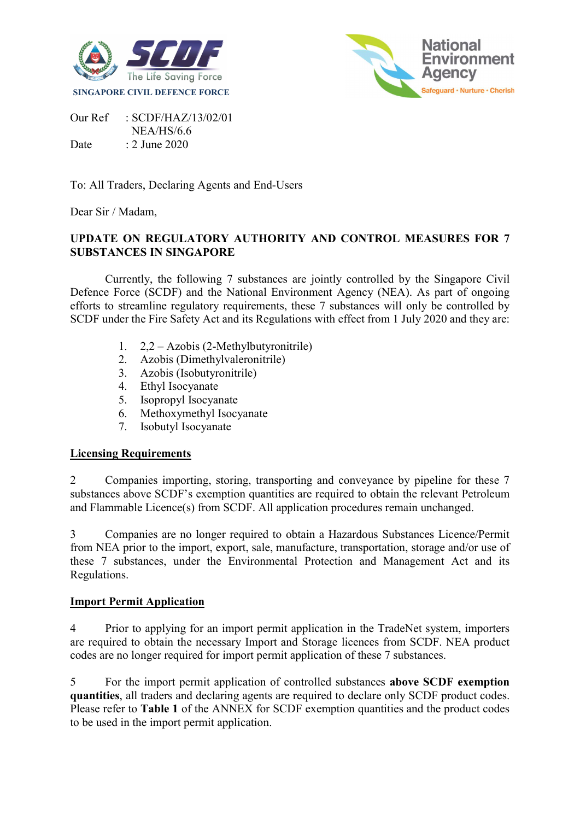



Our Ref : SCDF/HAZ/13/02/01 NEA/HS/6.6 Date : 2 June 2020

To: All Traders, Declaring Agents and End-Users

Dear Sir / Madam,

# UPDATE ON REGULATORY AUTHORITY AND CONTROL MEASURES FOR 7 SUBSTANCES IN SINGAPORE

Currently, the following 7 substances are jointly controlled by the Singapore Civil Defence Force (SCDF) and the National Environment Agency (NEA). As part of ongoing efforts to streamline regulatory requirements, these 7 substances will only be controlled by SCDF under the Fire Safety Act and its Regulations with effect from 1 July 2020 and they are:

- 1. 2,2 Azobis (2-Methylbutyronitrile)
- 2. Azobis (Dimethylvaleronitrile)
- 3. Azobis (Isobutyronitrile)
- 4. Ethyl Isocyanate
- 5. Isopropyl Isocyanate
- 6. Methoxymethyl Isocyanate
- 7. Isobutyl Isocyanate

#### Licensing Requirements

2 Companies importing, storing, transporting and conveyance by pipeline for these 7 substances above SCDF's exemption quantities are required to obtain the relevant Petroleum and Flammable Licence(s) from SCDF. All application procedures remain unchanged.

3 Companies are no longer required to obtain a Hazardous Substances Licence/Permit from NEA prior to the import, export, sale, manufacture, transportation, storage and/or use of these 7 substances, under the Environmental Protection and Management Act and its Regulations.

### Import Permit Application

4 Prior to applying for an import permit application in the TradeNet system, importers are required to obtain the necessary Import and Storage licences from SCDF. NEA product codes are no longer required for import permit application of these 7 substances.

5 For the import permit application of controlled substances above SCDF exemption quantities, all traders and declaring agents are required to declare only SCDF product codes. Please refer to Table 1 of the ANNEX for SCDF exemption quantities and the product codes to be used in the import permit application.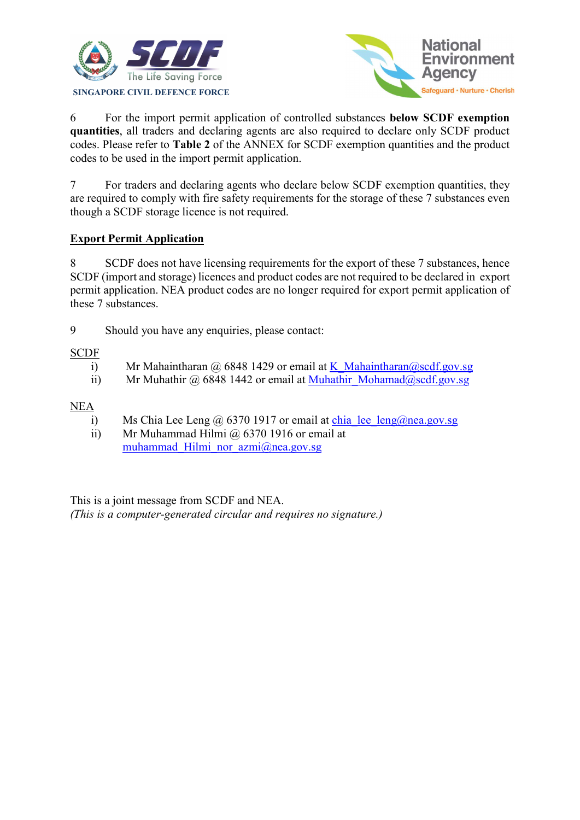



6 For the import permit application of controlled substances below SCDF exemption quantities, all traders and declaring agents are also required to declare only SCDF product codes. Please refer to Table 2 of the ANNEX for SCDF exemption quantities and the product codes to be used in the import permit application.

7 For traders and declaring agents who declare below SCDF exemption quantities, they are required to comply with fire safety requirements for the storage of these 7 substances even though a SCDF storage licence is not required.

## Export Permit Application

8 SCDF does not have licensing requirements for the export of these 7 substances, hence SCDF (import and storage) licences and product codes are not required to be declared in export permit application. NEA product codes are no longer required for export permit application of these 7 substances.

9 Should you have any enquiries, please contact:

## **SCDF**

- i) Mr Mahaintharan @ 6848 1429 or email at K\_Mahaintharan@scdf.gov.sg
- ii) Mr Muhathir @ 6848 1442 or email at Muhathir\_Mohamad@scdf.gov.sg

NEA

- i) Ms Chia Lee Leng @ 6370 1917 or email at chia lee leng@nea.gov.sg
- ii) Mr Muhammad Hilmi  $\omega$  6370 1916 or email at muhammad Hilmi nor azmi@nea.gov.sg

This is a joint message from SCDF and NEA. (This is a computer-generated circular and requires no signature.)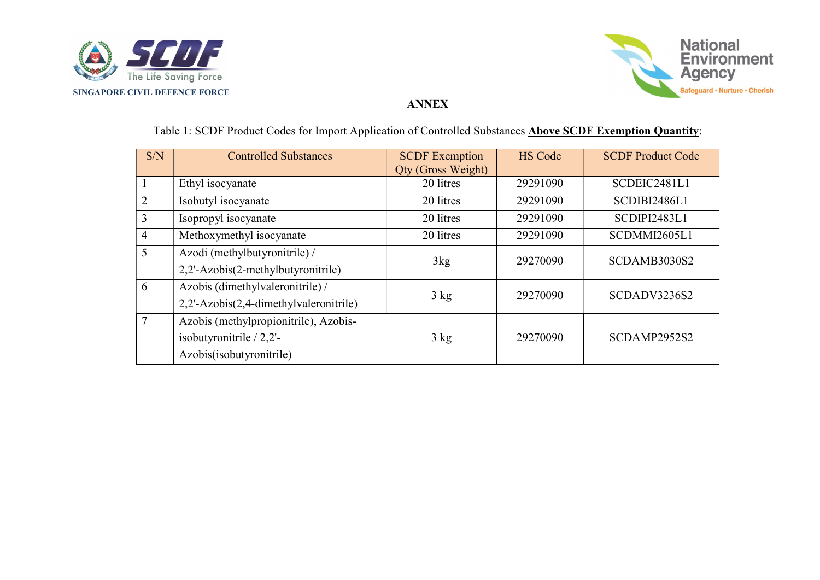



### ANNEX

| S/N            | <b>Controlled Substances</b>           | <b>SCDF</b> Exemption<br><b>Qty (Gross Weight)</b> | <b>HS Code</b> | <b>SCDF Product Code</b> |
|----------------|----------------------------------------|----------------------------------------------------|----------------|--------------------------|
|                | Ethyl isocyanate                       | 20 litres                                          | 29291090       | SCDEIC2481L1             |
| $\overline{2}$ | Isobutyl isocyanate                    | 20 litres                                          | 29291090       | SCDIBI2486L1             |
| 3              | Isopropyl isocyanate                   | 20 litres                                          | 29291090       | SCDIPI2483L1             |
| $\overline{4}$ | Methoxymethyl isocyanate               | 20 litres                                          | 29291090       | SCDMMI2605L1             |
| 5              | Azodi (methylbutyronitrile) /          | 3kg                                                | 29270090       | SCDAMB3030S2             |
|                | 2,2'-Azobis(2-methylbutyronitrile)     |                                                    |                |                          |
| 6              | Azobis (dimethylvaleronitrile) /       | $3 \text{ kg}$                                     | 29270090       | SCDADV3236S2             |
|                | 2,2'-Azobis(2,4-dimethylvaleronitrile) |                                                    |                |                          |
|                | Azobis (methylpropionitrile), Azobis-  |                                                    |                |                          |
|                | isobutyronitrile $/ 2,2$ '-            | $3 \text{ kg}$                                     | 29270090       | SCDAMP2952S2             |
|                | Azobis(isobutyronitrile)               |                                                    |                |                          |

# Table 1: SCDF Product Codes for Import Application of Controlled Substances **Above SCDF Exemption Quantity**: